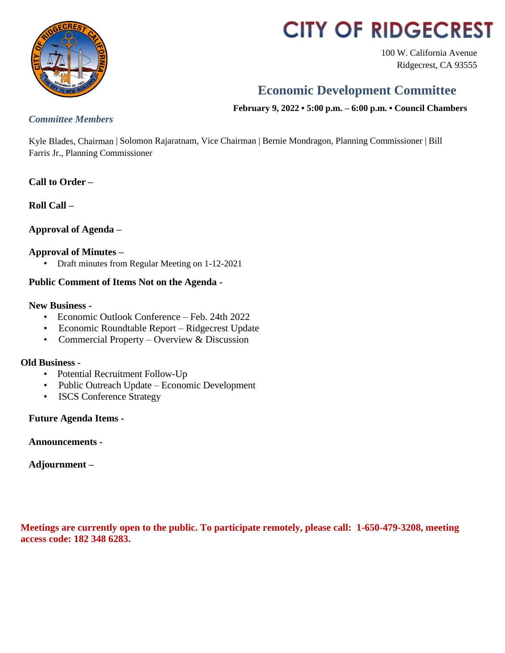

# **CITY OF RIDGECREST**

100 W. California Avenue Ridgecrest, CA 93555

# **Economic Development Committee**

**February 9, 2022 • 5:00 p.m. – 6:00 p.m. • Council Chambers**

# *Committee Members*

Kyle Blades, Chairman | Solomon Rajaratnam, Vice Chairman | Bernie Mondragon, Planning Commissioner | Bill Farris Jr., Planning Commissioner

# **Call to Order –**

**Roll Call –**

# **Approval of Agenda –**

## **Approval of Minutes –**

• Draft minutes from Regular Meeting on 1-12-2021

## **Public Comment of Items Not on the Agenda -**

### **New Business -**

- Economic Outlook Conference Feb. 24th 2022
- Economic Roundtable Report Ridgecrest Update
- Commercial Property Overview & Discussion

### **Old Business -**

- Potential Recruitment Follow-Up
- Public Outreach Update Economic Development
- ISCS Conference Strategy

# **Future Agenda Items -**

**Announcements -**

# **Adjournment –**

**Meetings are currently open to the public. To participate remotely, please call: 1-650-479-3208, meeting access code: 182 348 6283.**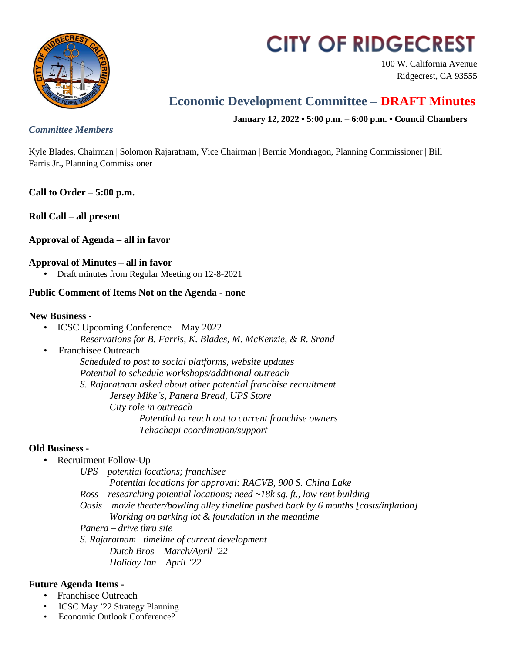

# **CITY OF RIDGECREST**

100 W. California Avenue Ridgecrest, CA 93555

# **Economic Development Committee – DRAFT Minutes**

**January 12, 2022 • 5:00 p.m. – 6:00 p.m. • Council Chambers**

### *Committee Members*

Kyle Blades, Chairman | Solomon Rajaratnam, Vice Chairman | Bernie Mondragon, Planning Commissioner | Bill Farris Jr., Planning Commissioner

**Call to Order – 5:00 p.m.**

**Roll Call – all present**

# **Approval of Agenda – all in favor**

### **Approval of Minutes – all in favor**

• Draft minutes from Regular Meeting on 12-8-2021

### **Public Comment of Items Not on the Agenda - none**

### **New Business -**

• ICSC Upcoming Conference – May 2022

*Reservations for B. Farris, K. Blades, M. McKenzie, & R. Srand*

• Franchisee Outreach

*Scheduled to post to social platforms, website updates Potential to schedule workshops/additional outreach*

*S. Rajaratnam asked about other potential franchise recruitment Jersey Mike's, Panera Bread, UPS Store City role in outreach Potential to reach out to current franchise owners Tehachapi coordination/support*

### **Old Business -**

- Recruitment Follow-Up
	- *UPS – potential locations; franchisee*

*Potential locations for approval: RACVB, 900 S. China Lake*

*Ross – researching potential locations; need ~18k sq. ft., low rent building*

*Oasis – movie theater/bowling alley timeline pushed back by 6 months [costs/inflation] Working on parking lot & foundation in the meantime*

*Panera – drive thru site*

*S. Rajaratnam –timeline of current development Dutch Bros – March/April '22 Holiday Inn – April '22*

### **Future Agenda Items -**

- Franchisee Outreach
- ICSC May '22 Strategy Planning
- Economic Outlook Conference?